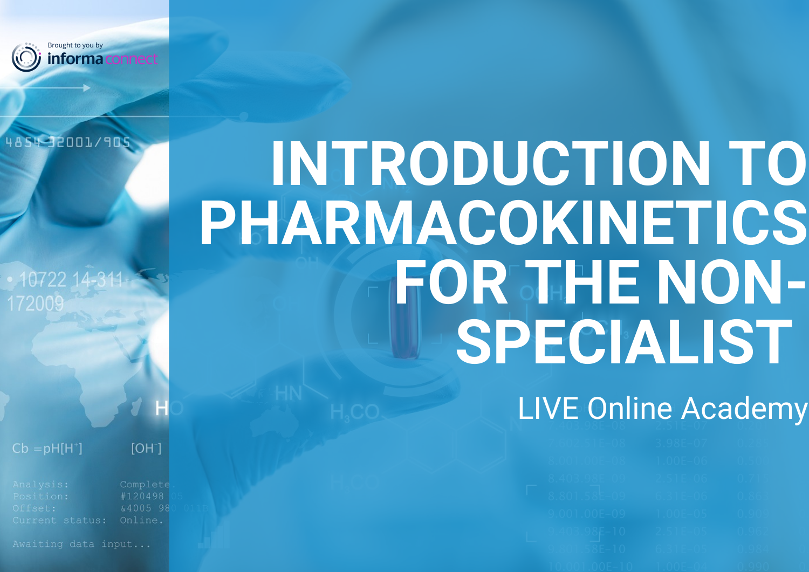

#### 4854-32001/909

10722 172009

 $Cb = pH[H^+]$ 

 $[OH]$ 

Current status:

 $$400598$ Online.

Awaiting data input...

# **INTRODUCTION TO PHARMACOKINETICS FOR THE NON-SPECIALIST**

# LIVE Online Academy

|                                                                                                                                                           | 2005.A<br>- J.JOLTUA - V.COJ                                                                                                                                                                                  |                                                                                 |  |
|-----------------------------------------------------------------------------------------------------------------------------------------------------------|---------------------------------------------------------------------------------------------------------------------------------------------------------------------------------------------------------------|---------------------------------------------------------------------------------|--|
| 2 001 OCE 00<br>ORUUT RUUTUO                                                                                                                              | $1$ $\cap$ $\cap$ $E$ $\cap$ $C$<br>HUUETUD T                                                                                                                                                                 | the company of the company of<br>the control of the control of the control of   |  |
| $0.10200E-0.0$<br>0. TUD. JOETUJ<br><u> 1989 - Johann John Stein, markan yn y sefydlwys y brenin y cyfeiliadau y cyfeiliadau y cyfeiliadau y cyfeilia</u> | 25I E R<br>Z DIE TUU                                                                                                                                                                                          | 0.71C                                                                           |  |
| CONTECT NO.<br>0.001.000-02                                                                                                                               | $C$ $2I E$ $\Lambda C$<br>19. J. L. D. U.U.                                                                                                                                                                   | $\cap$ $\circ$ $\circ$<br>the control of the control of the control of          |  |
| O AAI AAF AA<br>7. UU I .UUETUJ                                                                                                                           | the company's company's company's company's<br>THE ANNUAL PROPERTY OF THE PARTY.<br>$\begin{array}{c} \begin{array}{c} \end{array} \end{array}$                                                               | and the control of the control of the control of<br><b>ARTICA CARD</b><br>0.303 |  |
| 10100010<br>eud Joetiv<br>the control of the control of the con-                                                                                          | the control of the control of the control of the control of the control of<br>DI LE DI LE LA PRINCIPALE DI LA PROPERTA DI LA PROPERTA DI LA PROPERTA DI LA PROPERTA DI LA PROPERTA DI LA PRO<br>$2.31 E$ $03$ | <b>Contract Contract Contract Contract</b><br>せっかいで<br>-----                    |  |
| IOAT FOE TA<br>9. OV 1. DOET 1 U                                                                                                                          | C DIE AE.<br>$0.51E - 0.5$                                                                                                                                                                                    | $\Delta$ $\Omega$ $\Omega$ $\Delta$<br>V.JOT.                                   |  |
|                                                                                                                                                           |                                                                                                                                                                                                               |                                                                                 |  |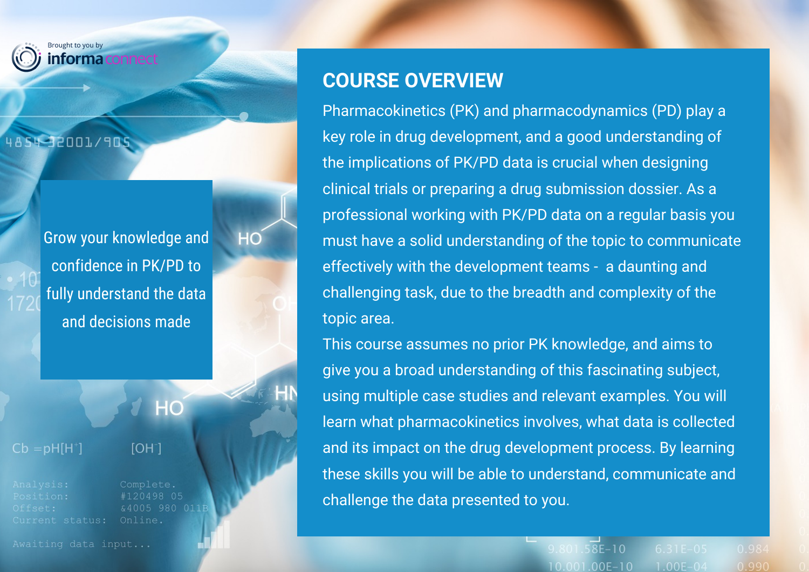

#### 4854-32001/905

Grow your knowledge and confidence in PK/PD to fully understand the data and decisions made

HC

HN

### $H<sup>O</sup>$

 $Cb = pH[H^*]$ 

 $[OH<sup>-</sup>]$ 

Current status:

#120498 05 &4005 980 011F Online.

Awaiting data input...

### **COURSE OVERVIEW**

Pharmacokinetics (PK) and pharmacodynamics (PD) play a key role in drug development, and a good understanding of the implications of PK/PD data is crucial when designing clinical trials or preparing a drug submission dossier. As a professional working with PK/PD data on a regular basis you must have a solid understanding of the topic to communicate effectively with the development teams - a daunting and challenging task, due to the breadth and complexity of the topic area.

This course assumes no prior PK knowledge, and aims to give you a broad understanding of this fascinating subject, using multiple case studies and relevant examples. You will learn what pharmacokinetics involves, what data is collected and its impact on the drug development process. By learning these skills you will be able to understand, communicate and challenge the data presented to you.

> 9.801.58E-10 10.001.00E-10  $1.00E - 04$  $0.990$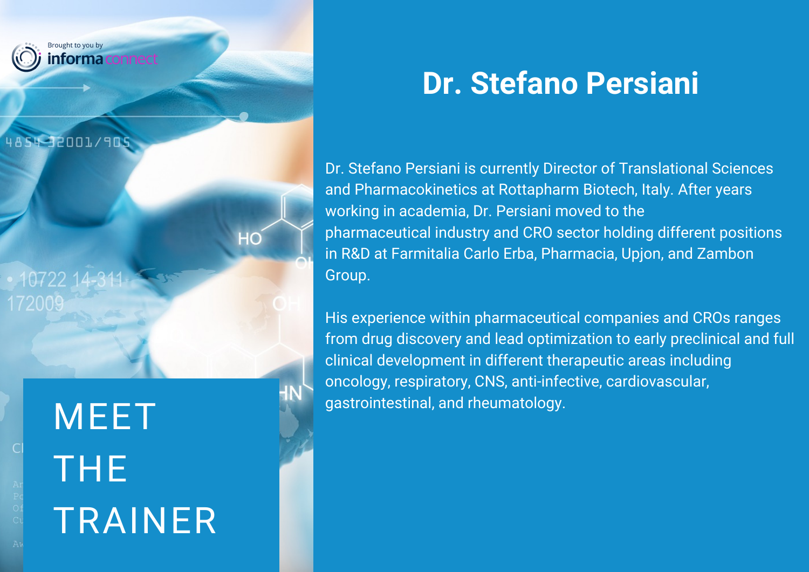

MEET SALL SERVIT AND SURVITE SERVIT AND ALL SURVITE SERVIT AND GASTRONIC STATES OF THE SALL STATES OF THE SALL S THE TRAINER

# **Dr. Stefano Persiani**

Dr. Stefano Persiani is currently Director of Translational Sciences and Pharmacokinetics at Rottapharm Biotech, Italy. After years working in academia, Dr. Persiani moved to the pharmaceutical industry and CRO sector holding different positions in R&D at Farmitalia Carlo Erba, Pharmacia, Upjon, and Zambon Group.

His experience within pharmaceutical companies and CROs ranges from drug discovery and lead optimization to early preclinical and full clinical development in different therapeutic areas including oncology, respiratory, CNS, anti-infective, cardiovascular,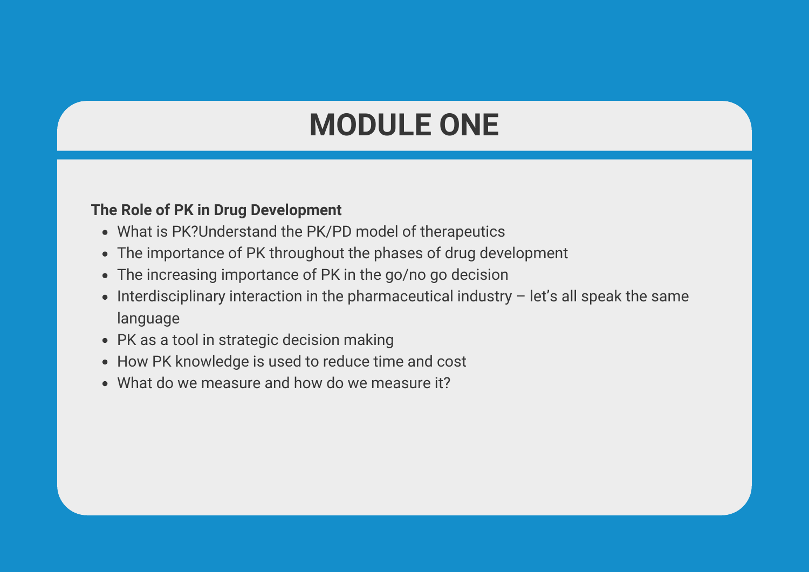### **MODULE ONE**

#### **The Role of PK in Drug Development**

- What is PK?Understand the PK/PD model of therapeutics
- The importance of PK throughout the phases of drug development
- The increasing importance of PK in the go/no go decision
- Interdisciplinary interaction in the pharmaceutical industry  $-$  let's all speak the same  $\bullet$ language
- PK as a tool in strategic decision making
- How PK knowledge is used to reduce time and cost
- What do we measure and how do we measure it?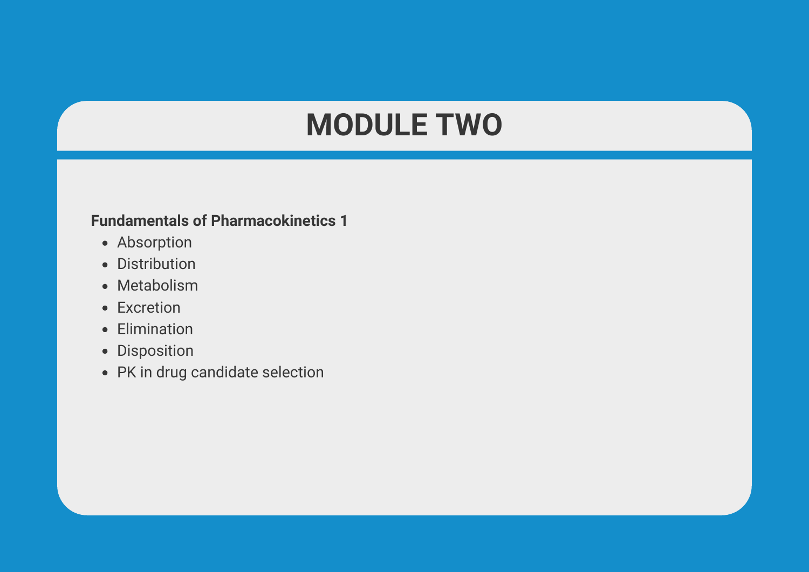### **MODULE TWO**

#### **Fundamentals of Pharmacokinetics 1**

- Absorption
- Distribution
- Metabolism
- Excretion
- Elimination
- Disposition
- PK in drug candidate selection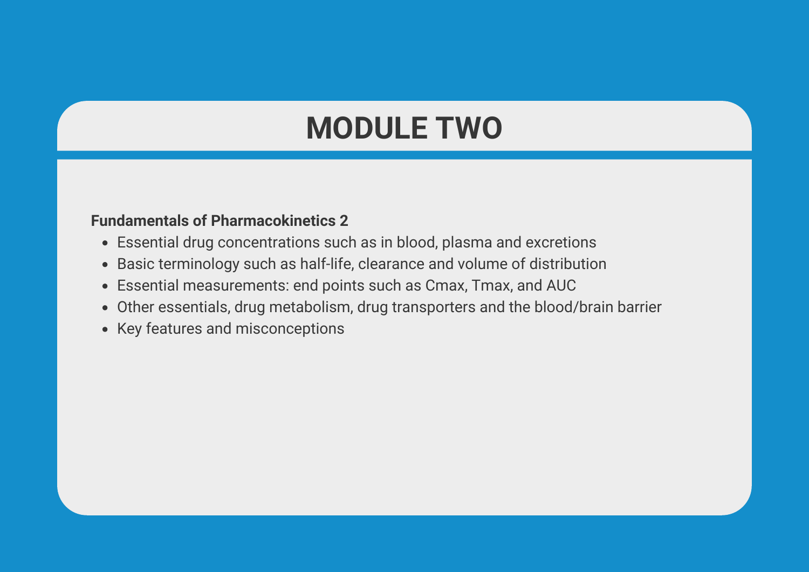# **MODULE TWO**

#### **Fundamentals of Pharmacokinetics 2**

- Essential drug concentrations such as in blood, plasma and excretions
- Basic terminology such as half-life, clearance and volume of distribution
- Essential measurements: end points such as Cmax, Tmax, and AUC
- Other essentials, drug metabolism, drug transporters and the blood/brain barrier
- Key features and misconceptions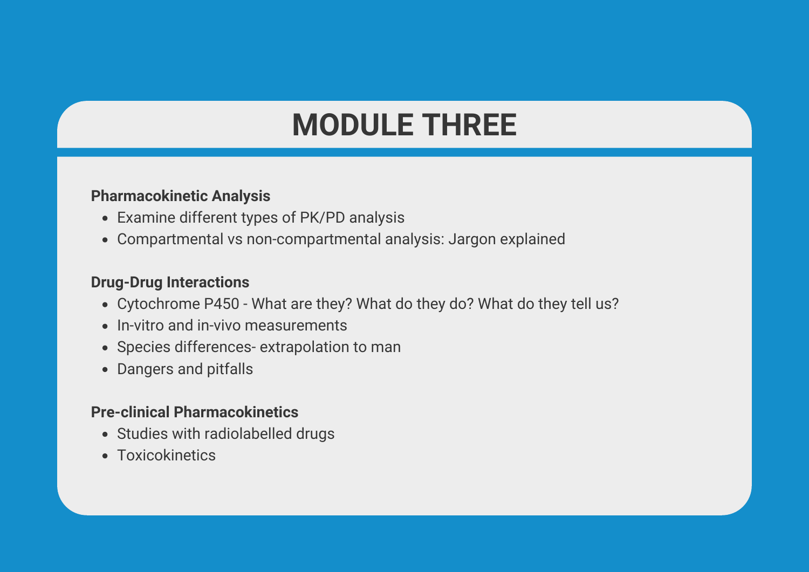# **MODULE THREE**

#### **Pharmacokinetic Analysis**

- Examine different types of PK/PD analysis
- Compartmental vs non-compartmental analysis: Jargon explained

#### **Drug-Drug Interactions**

- Cytochrome P450 What are they? What do they do? What do they tell us?
- In-vitro and in-vivo measurements
- Species differences- extrapolation to man
- Dangers and pitfalls

#### **Pre-clinical Pharmacokinetics**

- Studies with radiolabelled drugs
- Toxicokinetics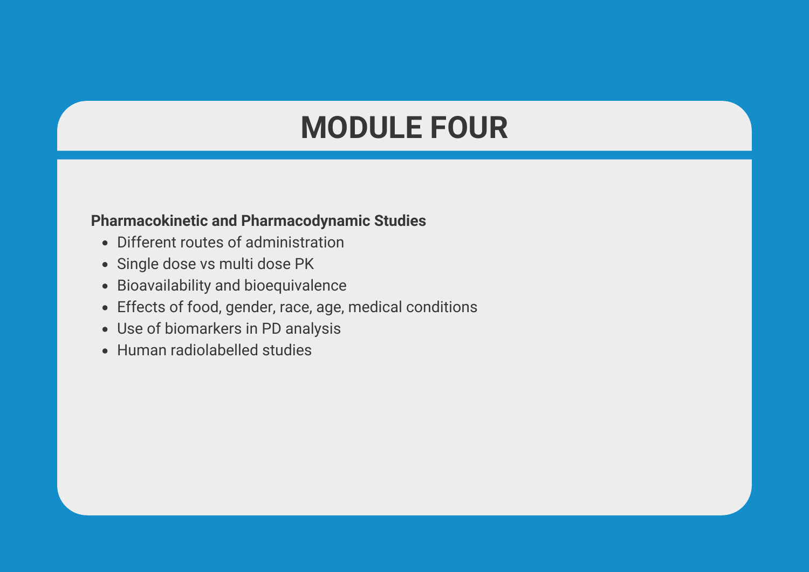### **MODULE FOUR**

#### **Pharmacokinetic and Pharmacodynamic Studies**

- Different routes of administration
- Single dose vs multi dose PK
- Bioavailability and bioequivalence
- Effects of food, gender, race, age, medical conditions
- Use of biomarkers in PD analysis
- Human radiolabelled studies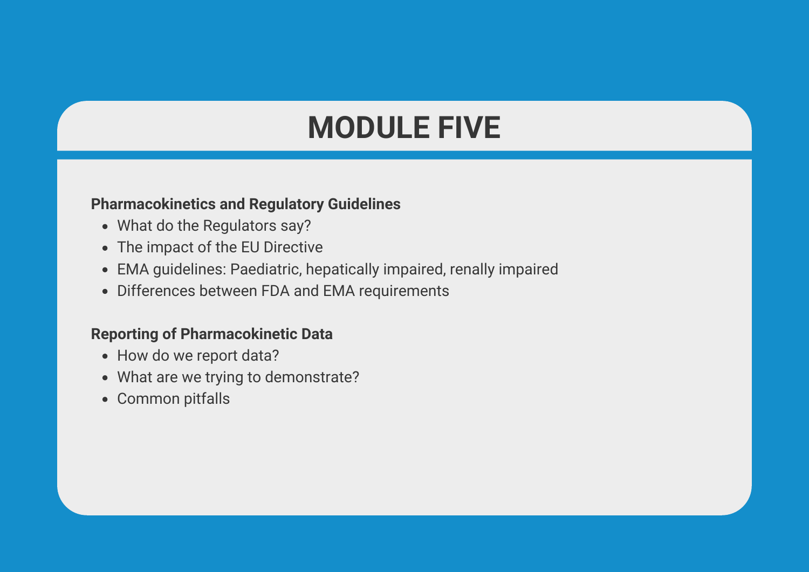# **MODULE FIVE**

#### **Pharmacokinetics and Regulatory Guidelines**

- What do the Regulators say?
- The impact of the EU Directive
- EMA guidelines: Paediatric, hepatically impaired, renally impaired
- Differences between FDA and EMA requirements

#### **Reporting of Pharmacokinetic Data**

- How do we report data?
- What are we trying to demonstrate?
- Common pitfalls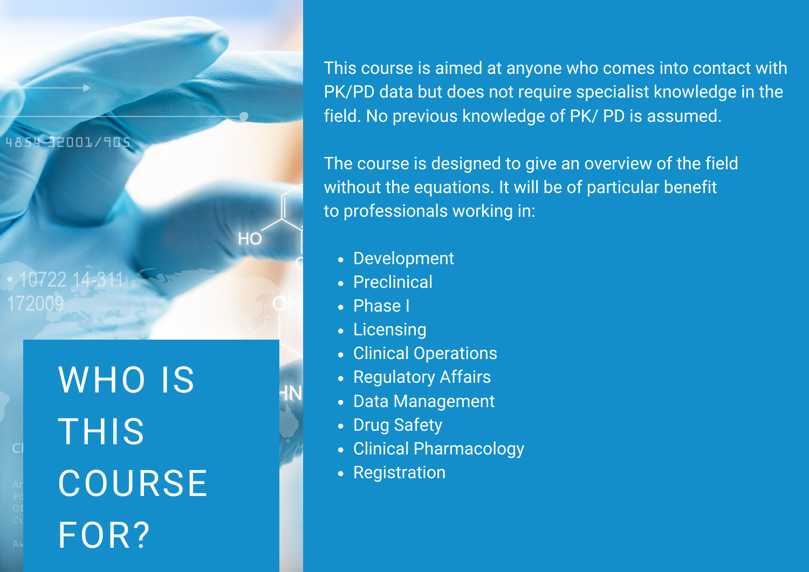4854-32001/905

10722 172009

> WHO IS THIS **COURSE** FOR?

This course is aimed at anyone who comes into contact with PK/PD data but does not require specialist knowledge in the field. No previous knowledge of PK/ PD is assumed.

The course is designed to give an overview of the field without the equations. It will be of particular benefit to professionals working in:

- Development
- Preclinical
- Phase I

 $HC$ 

- Licensing
- Clinical Operations
- Regulatory Affairs
- Data Management
- Drug Safety
- Clinical Pharmacology
- Registration